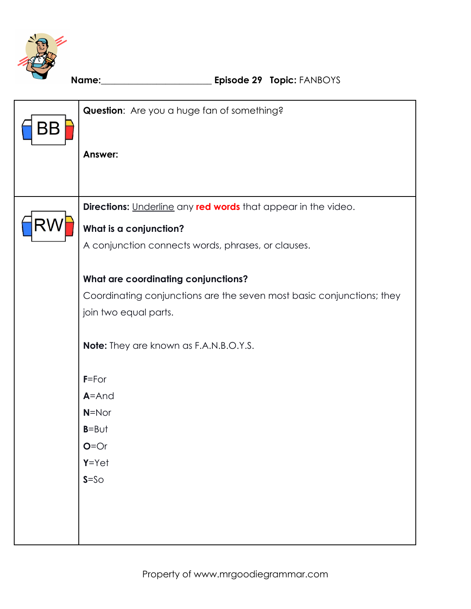

| BΒ | Question: Are you a huge fan of something?                            |  |  |  |  |
|----|-----------------------------------------------------------------------|--|--|--|--|
|    | <b>Answer:</b>                                                        |  |  |  |  |
|    |                                                                       |  |  |  |  |
|    | Directions: Underline any red words that appear in the video.         |  |  |  |  |
|    | What is a conjunction?                                                |  |  |  |  |
|    | A conjunction connects words, phrases, or clauses.                    |  |  |  |  |
|    |                                                                       |  |  |  |  |
|    | What are coordinating conjunctions?                                   |  |  |  |  |
|    | Coordinating conjunctions are the seven most basic conjunctions; they |  |  |  |  |
|    | join two equal parts.                                                 |  |  |  |  |
|    | Note: They are known as F.A.N.B.O.Y.S.                                |  |  |  |  |
|    | $F = For$                                                             |  |  |  |  |
|    | $A = And$                                                             |  |  |  |  |
|    | $N = N$ or                                                            |  |  |  |  |
|    | $B = B \cup t$                                                        |  |  |  |  |
|    | $O = Or$                                                              |  |  |  |  |
|    | $Y = Y e t$                                                           |  |  |  |  |
|    | $S = SO$                                                              |  |  |  |  |
|    |                                                                       |  |  |  |  |
|    |                                                                       |  |  |  |  |
|    |                                                                       |  |  |  |  |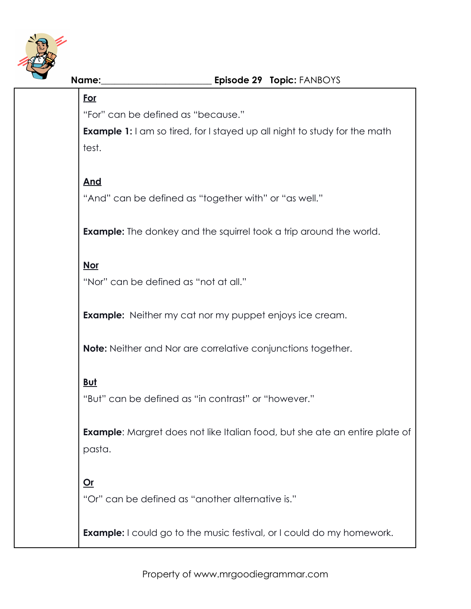

## **For**

"For" can be defined as "because."

**Example 1:** I am so tired, for I stayed up all night to study for the math test.

# **And**

"And" can be defined as "together with" or "as well."

**Example:** The donkey and the squirrel took a trip around the world.

## **Nor**

"Nor" can be defined as "not at all."

**Example:** Neither my cat nor my puppet enjoys ice cream.

**Note:** Neither and Nor are correlative conjunctions together.

# **But**

"But" can be defined as "in contrast" or "however."

**Example**: Margret does not like Italian food, but she ate an entire plate of pasta.

# **Or**

"Or" can be defined as "another alternative is."

**Example:** I could go to the music festival, or I could do my homework.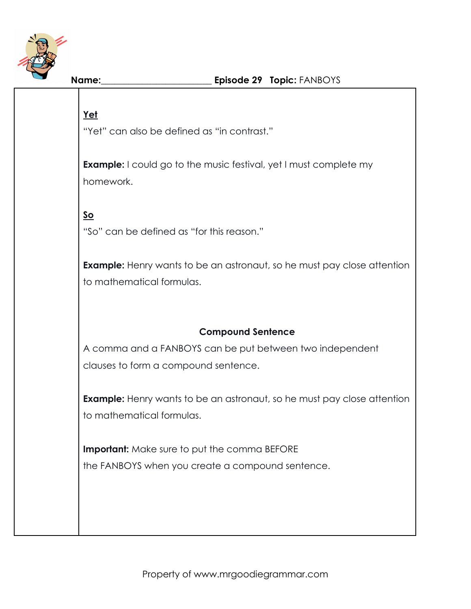

# **Yet**

"Yet" can also be defined as "in contrast."

**Example:** I could go to the music festival, yet I must complete my homework.

## **So**

"So" can be defined as "for this reason."

**Example:** Henry wants to be an astronaut, so he must pay close attention to mathematical formulas.

### **Compound Sentence**

A comma and a FANBOYS can be put between two independent clauses to form a compound sentence.

**Example:** Henry wants to be an astronaut, so he must pay close attention to mathematical formulas.

**Important:** Make sure to put the comma BEFORE the FANBOYS when you create a compound sentence.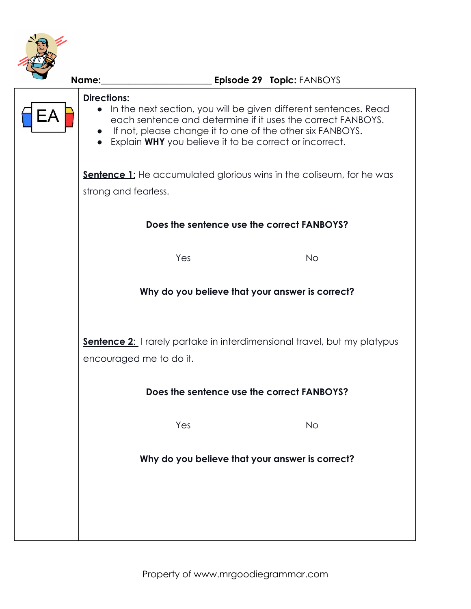

|                                                                                                            | Episode 29 Topic: FANBOYS<br>Name:                                                                                                                                                                                                                                                          |  |  |  |  |
|------------------------------------------------------------------------------------------------------------|---------------------------------------------------------------------------------------------------------------------------------------------------------------------------------------------------------------------------------------------------------------------------------------------|--|--|--|--|
| EΑ                                                                                                         | <b>Directions:</b><br>• In the next section, you will be given different sentences. Read<br>each sentence and determine if it uses the correct FANBOYS.<br>If not, please change it to one of the other six FANBOYS.<br>$\bullet$<br>Explain WHY you believe it to be correct or incorrect. |  |  |  |  |
|                                                                                                            | <b>Sentence 1:</b> He accumulated glorious wins in the coliseum, for he was<br>strong and fearless.                                                                                                                                                                                         |  |  |  |  |
|                                                                                                            | Does the sentence use the correct FANBOYS?                                                                                                                                                                                                                                                  |  |  |  |  |
|                                                                                                            | Yes<br><b>No</b>                                                                                                                                                                                                                                                                            |  |  |  |  |
|                                                                                                            | Why do you believe that your answer is correct?                                                                                                                                                                                                                                             |  |  |  |  |
| <b>Sentence 2:</b> I rarely partake in interdimensional travel, but my platypus<br>encouraged me to do it. |                                                                                                                                                                                                                                                                                             |  |  |  |  |
|                                                                                                            | Does the sentence use the correct FANBOYS?                                                                                                                                                                                                                                                  |  |  |  |  |
|                                                                                                            | Yes<br><b>No</b>                                                                                                                                                                                                                                                                            |  |  |  |  |
|                                                                                                            | Why do you believe that your answer is correct?                                                                                                                                                                                                                                             |  |  |  |  |
|                                                                                                            |                                                                                                                                                                                                                                                                                             |  |  |  |  |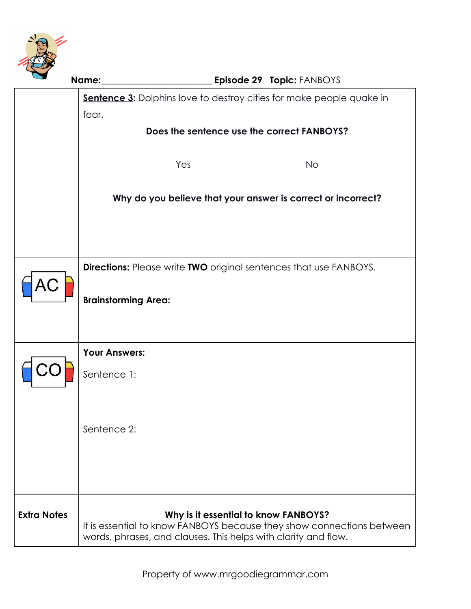

|                    | Name:                                                                                |  | Episode 29 Topic: FANBOYS                                                                                     |  |  |
|--------------------|--------------------------------------------------------------------------------------|--|---------------------------------------------------------------------------------------------------------------|--|--|
|                    | <b>Sentence 3:</b> Dolphins love to destroy cities for make people quake in<br>fear. |  |                                                                                                               |  |  |
|                    |                                                                                      |  |                                                                                                               |  |  |
|                    | Does the sentence use the correct FANBOYS?                                           |  |                                                                                                               |  |  |
|                    | Yes                                                                                  |  | <b>No</b>                                                                                                     |  |  |
|                    | Why do you believe that your answer is correct or incorrect?                         |  |                                                                                                               |  |  |
|                    |                                                                                      |  |                                                                                                               |  |  |
| AС                 | <b>Directions:</b> Please write TWO original sentences that use FANBOYS.             |  |                                                                                                               |  |  |
|                    | <b>Brainstorming Area:</b>                                                           |  |                                                                                                               |  |  |
|                    | <b>Your Answers:</b>                                                                 |  |                                                                                                               |  |  |
|                    | Sentence 1:                                                                          |  |                                                                                                               |  |  |
|                    | Sentence 2:                                                                          |  |                                                                                                               |  |  |
|                    |                                                                                      |  |                                                                                                               |  |  |
|                    |                                                                                      |  |                                                                                                               |  |  |
| <b>Extra Notes</b> |                                                                                      |  | Why is it essential to know FANBOYS?<br>It is essential to know FANBOYS because they show connections between |  |  |
|                    | words, phrases, and clauses. This helps with clarity and flow.                       |  |                                                                                                               |  |  |